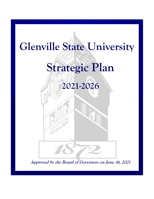

**Approved by the Board of Governors on June 16, 2021**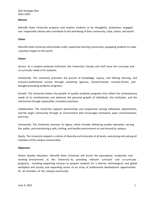GSU Strategic Plan 2021‐2026

# **Mission**

Glenville State University prepares and inspires students to be thoughtful, productive, engaged, and responsible citizens who contribute to the well-being of their community, state, nation, and world.

#### **Vision**

Glenville State University will provide a safe, supportive learning community, equipping students to make a positive impact on the world.

#### **Values**

Service. As a student-centered institution, the University's faculty and staff serve the curricular and co‐curricular needs of its students.

*Scholarship*. The University promotes the pursuit of knowledge, inquiry, and lifelong learning, and nurtures professional success through sustaining rigorous, research-based, curiosity-driven, and thought‐provoking academic programs.

*Growth*. The University fosters the growth of quality academic programs that reflect the contemporary needs of its constituencies and advances the personal growth of individuals, the institution, and the community through responsible, innovative practices.

*Collaboration*. The University supports partnerships and cooperation among individuals, departments, and the larger community through an environment that encourages teamwork, open communication, and trust.

*Community*. The University oversees its legacy, which includes delivering quality education, serving the public, and maintaining a safe, inviting, and healthy environment on and around its campus.

*Equity*. The University respects a culture of diversity and inclusivity at all levels, welcoming and valuing all members of the campus communities.

# **Objectives**

*Deliver Quality Education*. Glenville State University will enrich the educational, residential, and working environment at the University by providing relevant curricular and co-curricular programs, including supporting services to prepare students for a diverse, technological, and global workplace and society, and expanding access to an array of professional development opportunities for all members of the campus community.